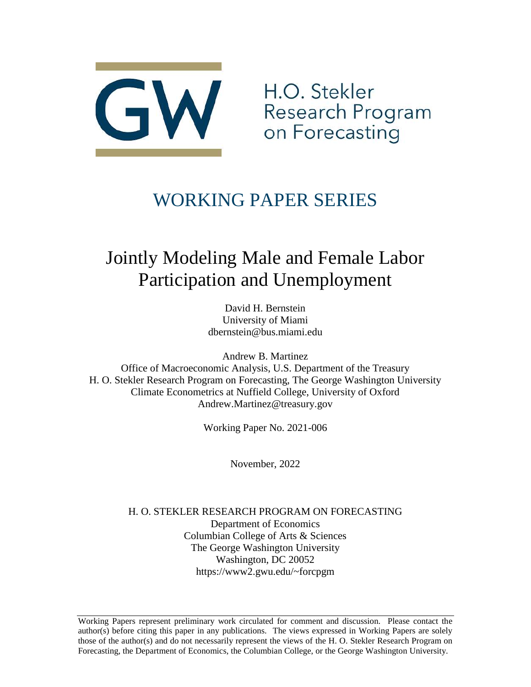

H.O. Stekler Research Program on Forecasting

# WORKING PAPER SERIES

# Jointly Modeling Male and Female Labor Participation and Unemployment

David H. Bernstein University of Miami dbernstein@bus.miami.edu

Andrew B. Martinez Office of Macroeconomic Analysis, U.S. Department of the Treasury H. O. Stekler Research Program on Forecasting, The George Washington University Climate Econometrics at Nuffield College, University of Oxford Andrew.Martinez@treasury.gov

Working Paper No. 2021-006

November, 2022

H. O. STEKLER RESEARCH PROGRAM ON FORECASTING Department of Economics Columbian College of Arts & Sciences The George Washington University Washington, DC 20052 https://www2.gwu.edu/~forcpgm

Working Papers represent preliminary work circulated for comment and discussion. Please contact the author(s) before citing this paper in any publications. The views expressed in Working Papers are solely those of the author(s) and do not necessarily represent the views of the H. O. Stekler Research Program on Forecasting, the Department of Economics, the Columbian College, or the George Washington University.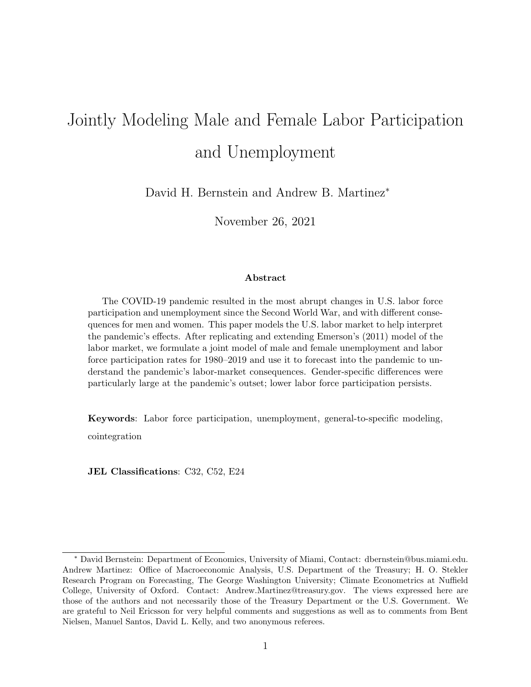# Jointly Modeling Male and Female Labor Participation and Unemployment

David H. Bernstein and Andrew B. Martinez<sup>∗</sup>

November 26, 2021

#### Abstract

The COVID-19 pandemic resulted in the most abrupt changes in U.S. labor force participation and unemployment since the Second World War, and with different consequences for men and women. This paper models the U.S. labor market to help interpret the pandemic's effects. After replicating and extending Emerson's (2011) model of the labor market, we formulate a joint model of male and female unemployment and labor force participation rates for 1980–2019 and use it to forecast into the pandemic to understand the pandemic's labor-market consequences. Gender-specific differences were particularly large at the pandemic's outset; lower labor force participation persists.

Keywords: Labor force participation, unemployment, general-to-specific modeling, cointegration

JEL Classifications: C32, C52, E24

<sup>∗</sup> [David Bernstein:](www.davidharrybernstein.com) Department of Economics, University of Miami, Contact: dbernstein@bus.miami.edu. Andrew Martinez: Office of Macroeconomic Analysis, U.S. Department of the Treasury; H. O. Stekler Research Program on Forecasting, The George Washington University; Climate Econometrics at Nuffield College, University of Oxford. Contact: Andrew.Martinez@treasury.gov. The views expressed here are those of the authors and not necessarily those of the Treasury Department or the U.S. Government. We are grateful to Neil Ericsson for very helpful comments and suggestions as well as to comments from Bent Nielsen, Manuel Santos, David L. Kelly, and two anonymous referees.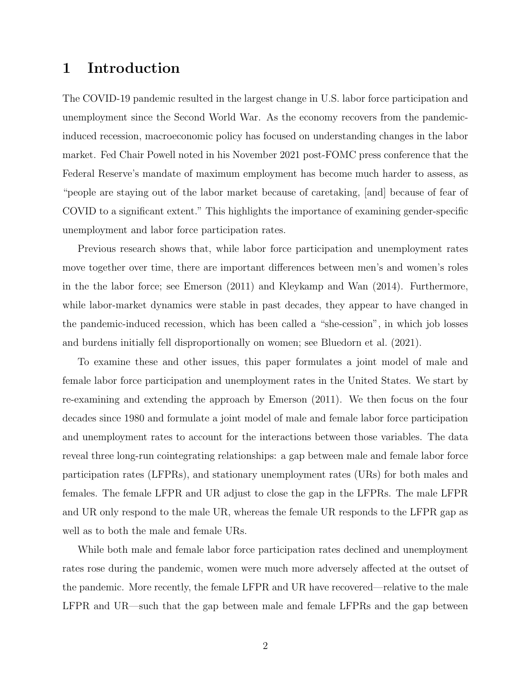#### 1 Introduction

The COVID-19 pandemic resulted in the largest change in U.S. labor force participation and unemployment since the Second World War. As the economy recovers from the pandemicinduced recession, macroeconomic policy has focused on understanding changes in the labor market. Fed Chair Powell noted in his November 2021 post-FOMC press conference that the Federal Reserve's mandate of maximum employment has become much harder to assess, as "people are staying out of the labor market because of caretaking, [and] because of fear of COVID to a significant extent." This highlights the importance of examining gender-specific unemployment and labor force participation rates.

Previous research shows that, while labor force participation and unemployment rates move together over time, there are important differences between men's and women's roles in the the labor force; see [Emerson \(2011\)](#page-21-0) and [Kleykamp and Wan \(2014\)](#page-22-0). Furthermore, while labor-market dynamics were stable in past decades, they appear to have changed in the pandemic-induced recession, which has been called a "she-cession", in which job losses and burdens initially fell disproportionally on women; see [Bluedorn et al. \(2021\)](#page-20-0).

To examine these and other issues, this paper formulates a joint model of male and female labor force participation and unemployment rates in the United States. We start by re-examining and extending the approach by [Emerson \(2011\)](#page-21-0). We then focus on the four decades since 1980 and formulate a joint model of male and female labor force participation and unemployment rates to account for the interactions between those variables. The data reveal three long-run cointegrating relationships: a gap between male and female labor force participation rates (LFPRs), and stationary unemployment rates (URs) for both males and females. The female LFPR and UR adjust to close the gap in the LFPRs. The male LFPR and UR only respond to the male UR, whereas the female UR responds to the LFPR gap as well as to both the male and female URs.

While both male and female labor force participation rates declined and unemployment rates rose during the pandemic, women were much more adversely affected at the outset of the pandemic. More recently, the female LFPR and UR have recovered—relative to the male LFPR and UR—such that the gap between male and female LFPRs and the gap between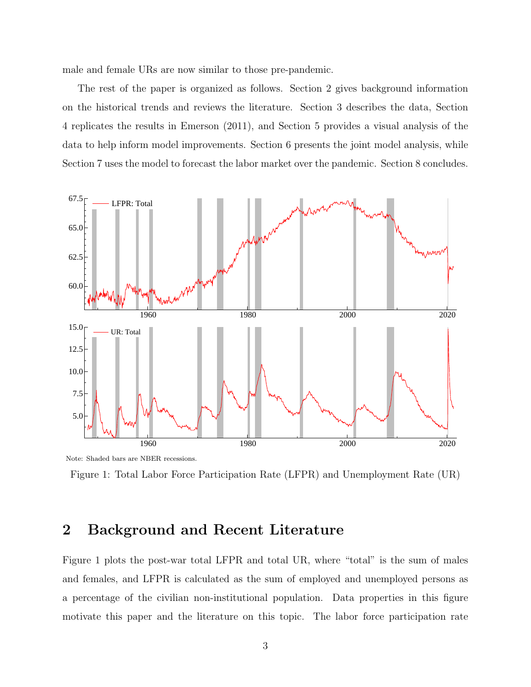male and female URs are now similar to those pre-pandemic.

The rest of the paper is organized as follows. Section [2](#page-3-0) gives background information on the historical trends and reviews the literature. Section [3](#page-5-0) describes the data, Section [4](#page-5-1) replicates the results in [Emerson \(2011\)](#page-21-0), and Section [5](#page-9-0) provides a visual analysis of the data to help inform model improvements. Section [6](#page-11-0) presents the joint model analysis, while Section [7](#page-15-0) uses the model to forecast the labor market over the pandemic. Section [8](#page-18-0) concludes.



<span id="page-3-1"></span>Figure 1: Total Labor Force Participation Rate (LFPR) and Unemployment Rate (UR)

#### <span id="page-3-0"></span>2 Background and Recent Literature

Figure [1](#page-3-1) plots the post-war total LFPR and total UR, where "total" is the sum of males and females, and LFPR is calculated as the sum of employed and unemployed persons as a percentage of the civilian non-institutional population. Data properties in this figure motivate this paper and the literature on this topic. The labor force participation rate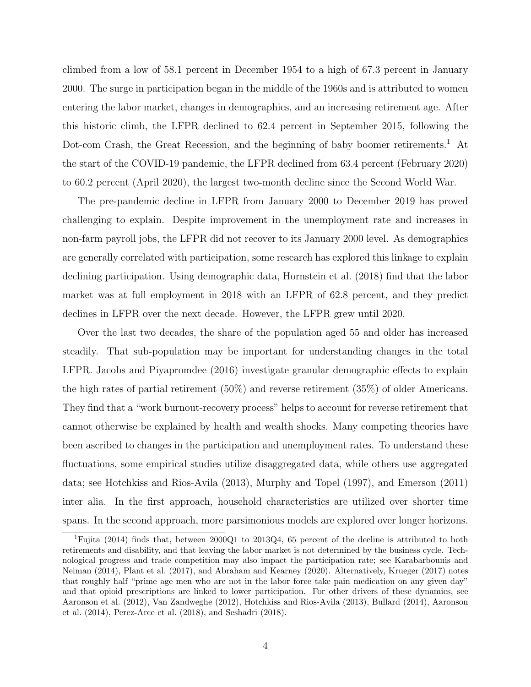climbed from a low of 58.1 percent in December 1954 to a high of 67.3 percent in January 2000. The surge in participation began in the middle of the 1960s and is attributed to women entering the labor market, changes in demographics, and an increasing retirement age. After this historic climb, the LFPR declined to 62.4 percent in September 2015, following the Dot-com Crash, the Great Recession, and the beginning of baby boomer retirements.<sup>[1](#page-4-0)</sup> At the start of the COVID-19 pandemic, the LFPR declined from 63.4 percent (February 2020) to 60.2 percent (April 2020), the largest two-month decline since the Second World War.

The pre-pandemic decline in LFPR from January 2000 to December 2019 has proved challenging to explain. Despite improvement in the unemployment rate and increases in non-farm payroll jobs, the LFPR did not recover to its January 2000 level. As demographics are generally correlated with participation, some research has explored this linkage to explain declining participation. Using demographic data, [Hornstein et al. \(2018\)](#page-22-1) find that the labor market was at full employment in 2018 with an LFPR of 62.8 percent, and they predict declines in LFPR over the next decade. However, the LFPR grew until 2020.

Over the last two decades, the share of the population aged 55 and older has increased steadily. That sub-population may be important for understanding changes in the total LFPR. [Jacobs and Piyapromdee \(2016\)](#page-22-2) investigate granular demographic effects to explain the high rates of partial retirement (50%) and reverse retirement (35%) of older Americans. They find that a "work burnout-recovery process" helps to account for reverse retirement that cannot otherwise be explained by health and wealth shocks. Many competing theories have been ascribed to changes in the participation and unemployment rates. To understand these fluctuations, some empirical studies utilize disaggregated data, while others use aggregated data; see [Hotchkiss and Rios-Avila \(2013\)](#page-22-3), [Murphy and Topel \(1997\)](#page-22-4), and [Emerson \(2011\)](#page-21-0) inter alia. In the first approach, household characteristics are utilized over shorter time spans. In the second approach, more parsimonious models are explored over longer horizons.

<span id="page-4-0"></span><sup>1</sup>[Fujita](#page-21-1) [\(2014\)](#page-21-1) finds that, between 2000Q1 to 2013Q4, 65 percent of the decline is attributed to both retirements and disability, and that leaving the labor market is not determined by the business cycle. Technological progress and trade competition may also impact the participation rate; see [Karabarbounis and](#page-22-5) [Neiman](#page-22-5) [\(2014\)](#page-22-5), [Plant et al.](#page-23-0) [\(2017\)](#page-23-0), and [Abraham and Kearney](#page-20-1) [\(2020\)](#page-20-1). Alternatively, [Krueger](#page-22-6) [\(2017\)](#page-22-6) notes that roughly half "prime age men who are not in the labor force take pain medication on any given day" and that opioid prescriptions are linked to lower participation. For other drivers of these dynamics, see [Aaronson et al.](#page-20-2) [\(2012\)](#page-20-2), [Van Zandweghe](#page-23-1) [\(2012\)](#page-23-1), [Hotchkiss and Rios-Avila](#page-22-3) [\(2013\)](#page-22-3), [Bullard](#page-20-3) [\(2014\)](#page-20-3), [Aaronson](#page-20-4) [et al.](#page-20-4) [\(2014\)](#page-20-4), [Perez-Arce et al.](#page-23-2) [\(2018\)](#page-23-2), and [Seshadri](#page-23-3) [\(2018\)](#page-23-3).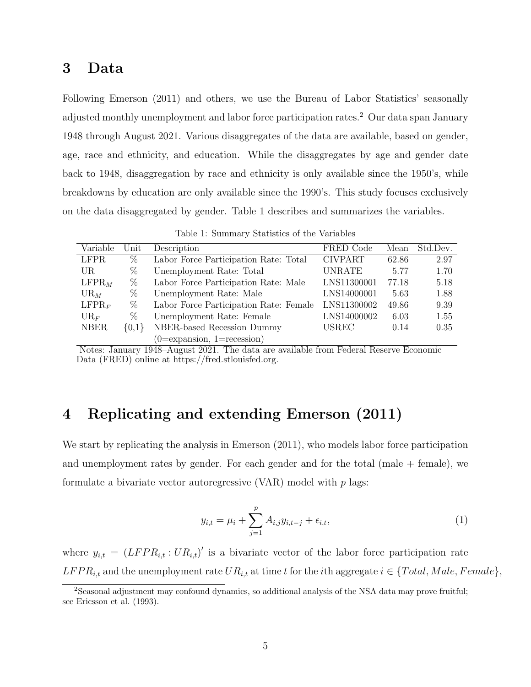#### <span id="page-5-0"></span>3 Data

Following [Emerson \(2011\)](#page-21-0) and others, we use the Bureau of Labor Statistics' seasonally adjusted monthly unemployment and labor force participation rates.[2](#page-5-2) Our data span January 1948 through August 2021. Various disaggregates of the data are available, based on gender, age, race and ethnicity, and education. While the disaggregates by age and gender date back to 1948, disaggregation by race and ethnicity is only available since the 1950's, while breakdowns by education are only available since the 1990's. This study focuses exclusively on the data disaggregated by gender. Table [1](#page-5-3) describes and summarizes the variables.

<span id="page-5-3"></span>

|  |  | Table 1: Summary Statistics of the Variables |  |  |  |  |
|--|--|----------------------------------------------|--|--|--|--|
|--|--|----------------------------------------------|--|--|--|--|

| Variable          | $\operatorname{Unit}$ | Description                              | FRED Code      | Mean  | Std.Dev. |
|-------------------|-----------------------|------------------------------------------|----------------|-------|----------|
| <b>LFPR</b>       | %                     | Labor Force Participation Rate: Total    | <b>CIVPART</b> | 62.86 | 2.97     |
| UR.               | %                     | Unemployment Rate: Total                 | UNRATE         | 5.77  | 1.70     |
| $LFPR_M$          | %                     | Labor Force Participation Rate: Male     | LNS11300001    | 77.18 | 5.18     |
| $UR_M$            | %                     | Unemployment Rate: Male                  | LNS14000001    | 5.63  | 1.88     |
| LFPR <sub>F</sub> | %                     | Labor Force Participation Rate: Female   | LNS11300002    | 49.86 | 9.39     |
| $UR_F$            | %                     | Unemployment Rate: Female                | LNS14000002    | 6.03  | 1.55     |
| <b>NBER</b>       | $\{0,1\}$             | NBER-based Recession Dummy               | <b>USREC</b>   | 0.14  | 0.35     |
|                   |                       | $(0 = \expansion, 1 = \text{recession})$ |                |       |          |

Notes: January 1948–August 2021. The data are available from Federal Reserve Economic Data (FRED) online at [https://fred.stlouisfed.org.](https://fred.stlouisfed.org)

#### <span id="page-5-1"></span>4 Replicating and extending Emerson (2011)

We start by replicating the analysis in [Emerson \(2011\)](#page-21-0), who models labor force participation and unemployment rates by gender. For each gender and for the total (male  $+$  female), we formulate a bivariate vector autoregressive  $(VAR)$  model with p lags:

<span id="page-5-4"></span>
$$
y_{i,t} = \mu_i + \sum_{j=1}^p A_{i,j} y_{i,t-j} + \epsilon_{i,t},
$$
\n(1)

where  $y_{i,t} = (LFPR_{i,t} : UR_{i,t})'$  is a bivariate vector of the labor force participation rate  $LFPR_{i,t}$  and the unemployment rate  $UR_{i,t}$  at time t for the ith aggregate  $i \in \{Total, Male, Female\}$ ,

<span id="page-5-2"></span><sup>&</sup>lt;sup>2</sup>Seasonal adjustment may confound dynamics, so additional analysis of the NSA data may prove fruitful; see [Ericsson et al.](#page-21-2) [\(1993\)](#page-21-2).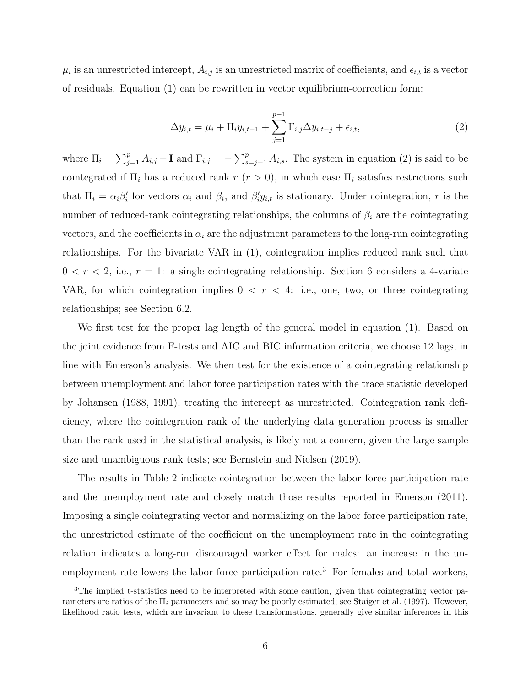$\mu_i$  is an unrestricted intercept,  $A_{i,j}$  is an unrestricted matrix of coefficients, and  $\epsilon_{i,t}$  is a vector of residuals. Equation [\(1\)](#page-5-4) can be rewritten in vector equilibrium-correction form:

<span id="page-6-0"></span>
$$
\Delta y_{i,t} = \mu_i + \Pi_i y_{i,t-1} + \sum_{j=1}^{p-1} \Gamma_{i,j} \Delta y_{i,t-j} + \epsilon_{i,t},
$$
\n(2)

where  $\Pi_i = \sum_{j=1}^p A_{i,j} - \mathbf{I}$  and  $\Gamma_{i,j} = -\sum_{s=j+1}^p A_{i,s}$ . The system in equation [\(2\)](#page-6-0) is said to be cointegrated if  $\Pi_i$  has a reduced rank  $r (r > 0)$ , in which case  $\Pi_i$  satisfies restrictions such that  $\Pi_i = \alpha_i \beta'_i$  for vectors  $\alpha_i$  and  $\beta_i$ , and  $\beta'_i y_{i,t}$  is stationary. Under cointegration, r is the number of reduced-rank cointegrating relationships, the columns of  $\beta_i$  are the cointegrating vectors, and the coefficients in  $\alpha_i$  are the adjustment parameters to the long-run cointegrating relationships. For the bivariate VAR in [\(1\)](#page-5-4), cointegration implies reduced rank such that  $0 < r < 2$ , i.e.,  $r = 1$ : a single cointegrating relationship. Section [6](#page-11-0) considers a 4-variate VAR, for which cointegration implies  $0 < r < 4$ : i.e., one, two, or three cointegrating relationships; see Section [6.2.](#page-12-0)

We first test for the proper lag length of the general model in equation [\(1\)](#page-5-4). Based on the joint evidence from F-tests and AIC and BIC information criteria, we choose 12 lags, in line with Emerson's analysis. We then test for the existence of a cointegrating relationship between unemployment and labor force participation rates with the trace statistic developed by [Johansen \(1988,](#page-22-7) [1991\)](#page-22-8), treating the intercept as unrestricted. Cointegration rank deficiency, where the cointegration rank of the underlying data generation process is smaller than the rank used in the statistical analysis, is likely not a concern, given the large sample size and unambiguous rank tests; see [Bernstein and Nielsen \(2019\)](#page-20-5).

The results in Table [2](#page-7-0) indicate cointegration between the labor force participation rate and the unemployment rate and closely match those results reported in [Emerson \(2011\)](#page-21-0). Imposing a single cointegrating vector and normalizing on the labor force participation rate, the unrestricted estimate of the coefficient on the unemployment rate in the cointegrating relation indicates a long-run discouraged worker effect for males: an increase in the un-employment rate lowers the labor force participation rate.<sup>[3](#page-6-1)</sup> For females and total workers,

<span id="page-6-1"></span><sup>&</sup>lt;sup>3</sup>The implied t-statistics need to be interpreted with some caution, given that cointegrating vector parameters are ratios of the  $\Pi_i$  parameters and so may be poorly estimated; see [Staiger et al.](#page-23-4) [\(1997\)](#page-23-4). However, likelihood ratio tests, which are invariant to these transformations, generally give similar inferences in this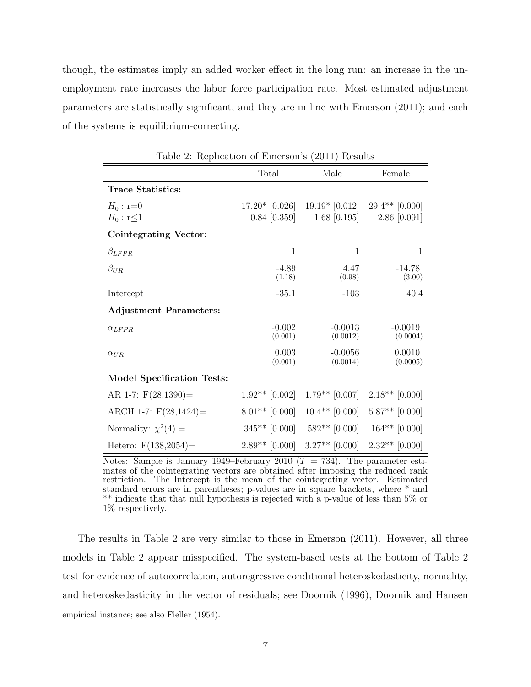though, the estimates imply an added worker effect in the long run: an increase in the unemployment rate increases the labor force participation rate. Most estimated adjustment parameters are statistically significant, and they are in line with [Emerson \(2011\)](#page-21-0); and each of the systems is equilibrium-correcting.

| respheasion or <b>E</b> merson s<br>$\left($ = $\frac{1}{2}$ + $\frac{1}{2}$ + $\frac{1}{2}$ + $\frac{1}{2}$ |                   |                                   |                    |  |
|--------------------------------------------------------------------------------------------------------------|-------------------|-----------------------------------|--------------------|--|
|                                                                                                              | Total             | Male                              | Female             |  |
| <b>Trace Statistics:</b>                                                                                     |                   |                                   |                    |  |
| $H_0: r=0$                                                                                                   | $17.20*$ [0.026]  | $19.19*$ [0.012] $29.4**$ [0.000] |                    |  |
| $H_0: \mathbf{r} \leq 1$                                                                                     | $0.84 \; [0.359]$ | $1.68$ [0.195]                    | $2.86$ [0.091]     |  |
| Cointegrating Vector:                                                                                        |                   |                                   |                    |  |
| $\beta_{LFPR}$                                                                                               | $\mathbf{1}$      | $\mathbf{1}$                      | 1                  |  |
| $\beta_{UR}$                                                                                                 | $-4.89$           | 4.47                              | $-14.78$           |  |
|                                                                                                              | (1.18)            | (0.98)                            | (3.00)             |  |
| Intercept                                                                                                    | $-35.1$           | $-103$                            | 40.4               |  |
| <b>Adjustment Parameters:</b>                                                                                |                   |                                   |                    |  |
| $\alpha_{LFPR}$                                                                                              | $-0.002$          | $-0.0013$                         | $-0.0019$          |  |
|                                                                                                              | (0.001)           | (0.0012)                          | (0.0004)           |  |
| $\alpha_{UR}$                                                                                                | 0.003<br>(0.001)  | $-0.0056$<br>(0.0014)             | 0.0010<br>(0.0005) |  |
| <b>Model Specification Tests:</b>                                                                            |                   |                                   |                    |  |
| AR 1-7: $F(28,1390)$ =                                                                                       | $1.92**$ [0.002]  | $1.79**$ [0.007]                  | $2.18**$ [0.000]   |  |
| ARCH 1-7: $F(28,1424) =$                                                                                     | $8.01**$ [0.000]  | $10.4**$ [0.000]                  | $5.87**$ [0.000]   |  |
| Normality: $\chi^2(4) =$                                                                                     | $345**$ [0.000]   | $582**$ [0.000]                   | $164**$ [0.000]    |  |
| Hetero: $F(138,2054) =$                                                                                      | $2.89**$ [0.000]  | $3.27**$ [0.000]                  | $2.32**$ [0.000]   |  |

<span id="page-7-0"></span>Table 2: Replication of Emerson's (2011) Results

Notes: Sample is January 1949–February 2010 ( $T = 734$ ). The parameter estimates of the cointegrating vectors are obtained after imposing the reduced rank restriction. The Intercept is the mean of the cointegrating vector. Estimated standard errors are in parentheses; p-values are in square brackets, where \* and \*\* indicate that that null hypothesis is rejected with a p-value of less than 5% or 1% respectively.

The results in Table [2](#page-7-0) are very similar to those in [Emerson \(2011\)](#page-21-0). However, all three models in Table [2](#page-7-0) appear misspecified. The system-based tests at the bottom of Table [2](#page-7-0) test for evidence of autocorrelation, autoregressive conditional heteroskedasticity, normality, and heteroskedasticity in the vector of residuals; see [Doornik \(1996\)](#page-20-6), [Doornik and Hansen](#page-20-7)

empirical instance; see also [Fieller](#page-21-3) [\(1954\)](#page-21-3).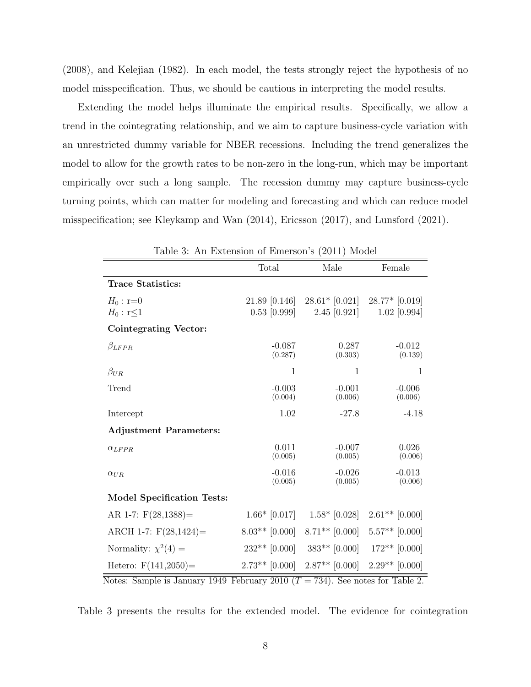[\(2008\)](#page-20-7), and [Kelejian \(1982\)](#page-22-9). In each model, the tests strongly reject the hypothesis of no model misspecification. Thus, we should be cautious in interpreting the model results.

Extending the model helps illuminate the empirical results. Specifically, we allow a trend in the cointegrating relationship, and we aim to capture business-cycle variation with an unrestricted dummy variable for NBER recessions. Including the trend generalizes the model to allow for the growth rates to be non-zero in the long-run, which may be important empirically over such a long sample. The recession dummy may capture business-cycle turning points, which can matter for modeling and forecasting and which can reduce model misspecification; see [Kleykamp and Wan \(2014\)](#page-22-0), [Ericsson \(2017\)](#page-21-4), and [Lunsford \(2021\)](#page-22-10).

| rable 5. All Extension of Emerson s<br>$\angle$ UII<br><b>MOREI</b> |                     |                     |                     |  |  |
|---------------------------------------------------------------------|---------------------|---------------------|---------------------|--|--|
|                                                                     | Total               | Male                | Female              |  |  |
| <b>Trace Statistics:</b>                                            |                     |                     |                     |  |  |
| $H_0: r = 0$                                                        | 21.89 [0.146]       | $28.61*$ [0.021]    | $28.77*$ [0.019]    |  |  |
| $H_0: r<1$                                                          | $0.53$ [0.999]      | $2.45 \; [0.921]$   | $1.02$ [0.994]      |  |  |
| Cointegrating Vector:                                               |                     |                     |                     |  |  |
| $\beta_{LFPR}$                                                      | $-0.087$<br>(0.287) | 0.287<br>(0.303)    | $-0.012$<br>(0.139) |  |  |
| $\beta_{UR}$                                                        | 1                   | 1                   | 1                   |  |  |
| Trend                                                               | $-0.003$<br>(0.004) | $-0.001$<br>(0.006) | $-0.006$<br>(0.006) |  |  |
| Intercept                                                           | 1.02                | $-27.8$             | $-4.18$             |  |  |
| <b>Adjustment Parameters:</b>                                       |                     |                     |                     |  |  |
| $\alpha_{LFPR}$                                                     | 0.011<br>(0.005)    | $-0.007$<br>(0.005) | 0.026<br>(0.006)    |  |  |
| $\alpha_{UR}$                                                       | $-0.016$<br>(0.005) | $-0.026$<br>(0.005) | $-0.013$<br>(0.006) |  |  |
| <b>Model Specification Tests:</b>                                   |                     |                     |                     |  |  |
| AR 1-7: $F(28,1388)$ =                                              | $1.66*$ [0.017]     | $1.58*$ [0.028]     | $2.61**$ [0.000]    |  |  |
| ARCH 1-7: $F(28,1424) =$                                            | $8.03**$ [0.000]    | $8.71**$ [0.000]    | $5.57**$ [0.000]    |  |  |
| Normality: $\chi^2(4) =$                                            | $232**$ [0.000]     | $383**$ [0.000]     | $172**$ [0.000]     |  |  |
| Hetero: $F(141,2050) =$                                             | $2.73**$ [0.000]    | $2.87**$ [0.000]    | $2.29**$ [0.000]    |  |  |

<span id="page-8-0"></span>Table 3: An Extension of Emerson's (2011) Model

Notes: Sample is January 1949–February 2010 ( $T = 734$ ). See notes for Table 2.

Table [3](#page-8-0) presents the results for the extended model. The evidence for cointegration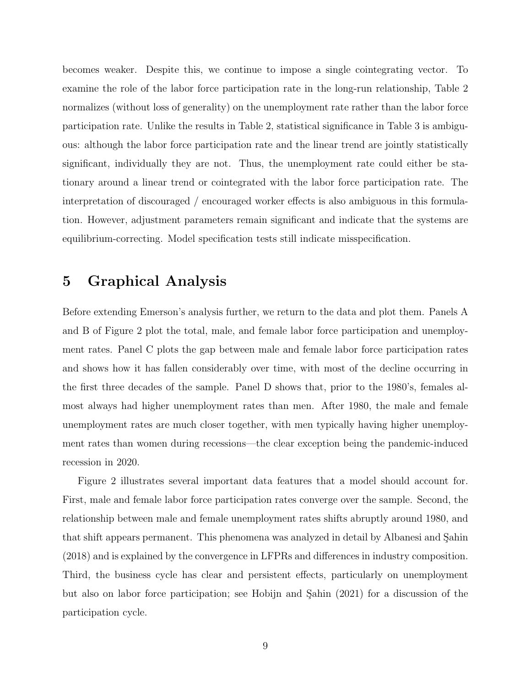becomes weaker. Despite this, we continue to impose a single cointegrating vector. To examine the role of the labor force participation rate in the long-run relationship, Table [2](#page-7-0) normalizes (without loss of generality) on the unemployment rate rather than the labor force participation rate. Unlike the results in Table [2,](#page-7-0) statistical significance in Table [3](#page-8-0) is ambiguous: although the labor force participation rate and the linear trend are jointly statistically significant, individually they are not. Thus, the unemployment rate could either be stationary around a linear trend or cointegrated with the labor force participation rate. The interpretation of discouraged / encouraged worker effects is also ambiguous in this formulation. However, adjustment parameters remain significant and indicate that the systems are equilibrium-correcting. Model specification tests still indicate misspecification.

#### <span id="page-9-0"></span>5 Graphical Analysis

Before extending Emerson's analysis further, we return to the data and plot them. Panels A and B of Figure [2](#page-10-0) plot the total, male, and female labor force participation and unemployment rates. Panel C plots the gap between male and female labor force participation rates and shows how it has fallen considerably over time, with most of the decline occurring in the first three decades of the sample. Panel D shows that, prior to the 1980's, females almost always had higher unemployment rates than men. After 1980, the male and female unemployment rates are much closer together, with men typically having higher unemployment rates than women during recessions—the clear exception being the pandemic-induced recession in 2020.

Figure [2](#page-10-0) illustrates several important data features that a model should account for. First, male and female labor force participation rates converge over the sample. Second, the relationship between male and female unemployment rates shifts abruptly around 1980, and that shift appears permanent. This phenomena was analyzed in detail by Albanesi and Sahin [\(2018\)](#page-20-8) and is explained by the convergence in LFPRs and differences in industry composition. Third, the business cycle has clear and persistent effects, particularly on unemployment but also on labor force participation; see Hobijn and Sahin  $(2021)$  for a discussion of the participation cycle.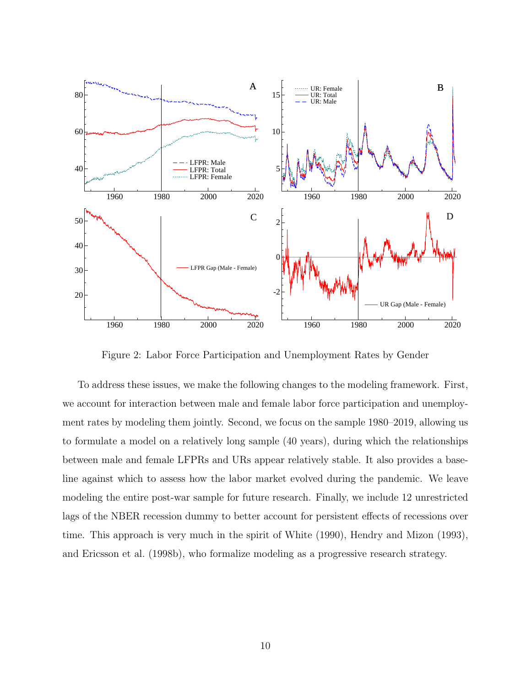

<span id="page-10-0"></span>Figure 2: Labor Force Participation and Unemployment Rates by Gender

To address these issues, we make the following changes to the modeling framework. First, we account for interaction between male and female labor force participation and unemployment rates by modeling them jointly. Second, we focus on the sample 1980–2019, allowing us to formulate a model on a relatively long sample (40 years), during which the relationships between male and female LFPRs and URs appear relatively stable. It also provides a baseline against which to assess how the labor market evolved during the pandemic. We leave modeling the entire post-war sample for future research. Finally, we include 12 unrestricted lags of the NBER recession dummy to better account for persistent effects of recessions over time. This approach is very much in the spirit of [White \(1990\)](#page-23-5), [Hendry and Mizon \(1993\)](#page-21-6), and [Ericsson et al. \(1998b\)](#page-21-7), who formalize modeling as a progressive research strategy.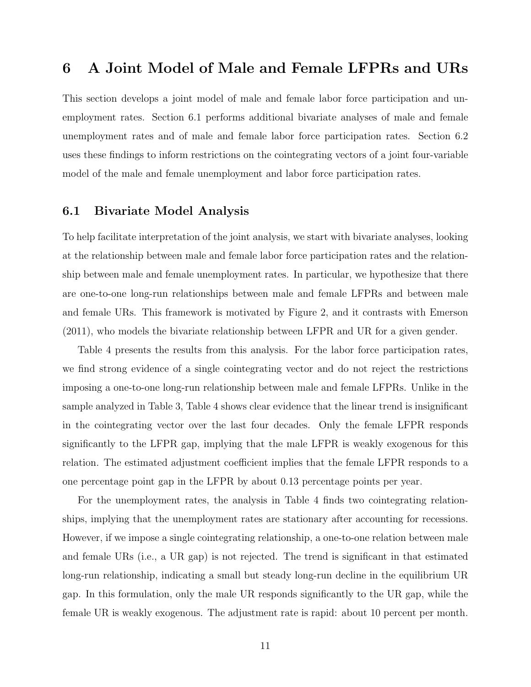## <span id="page-11-0"></span>6 A Joint Model of Male and Female LFPRs and URs

This section develops a joint model of male and female labor force participation and unemployment rates. Section [6.1](#page-11-1) performs additional bivariate analyses of male and female unemployment rates and of male and female labor force participation rates. Section [6.2](#page-12-0) uses these findings to inform restrictions on the cointegrating vectors of a joint four-variable model of the male and female unemployment and labor force participation rates.

#### <span id="page-11-1"></span>6.1 Bivariate Model Analysis

To help facilitate interpretation of the joint analysis, we start with bivariate analyses, looking at the relationship between male and female labor force participation rates and the relationship between male and female unemployment rates. In particular, we hypothesize that there are one-to-one long-run relationships between male and female LFPRs and between male and female URs. This framework is motivated by Figure [2,](#page-10-0) and it contrasts with [Emerson](#page-21-0) [\(2011\)](#page-21-0), who models the bivariate relationship between LFPR and UR for a given gender.

Table [4](#page-12-1) presents the results from this analysis. For the labor force participation rates, we find strong evidence of a single cointegrating vector and do not reject the restrictions imposing a one-to-one long-run relationship between male and female LFPRs. Unlike in the sample analyzed in Table [3,](#page-8-0) Table [4](#page-12-1) shows clear evidence that the linear trend is insignificant in the cointegrating vector over the last four decades. Only the female LFPR responds significantly to the LFPR gap, implying that the male LFPR is weakly exogenous for this relation. The estimated adjustment coefficient implies that the female LFPR responds to a one percentage point gap in the LFPR by about 0.13 percentage points per year.

For the unemployment rates, the analysis in Table [4](#page-12-1) finds two cointegrating relationships, implying that the unemployment rates are stationary after accounting for recessions. However, if we impose a single cointegrating relationship, a one-to-one relation between male and female URs (i.e., a UR gap) is not rejected. The trend is significant in that estimated long-run relationship, indicating a small but steady long-run decline in the equilibrium UR gap. In this formulation, only the male UR responds significantly to the UR gap, while the female UR is weakly exogenous. The adjustment rate is rapid: about 10 percent per month.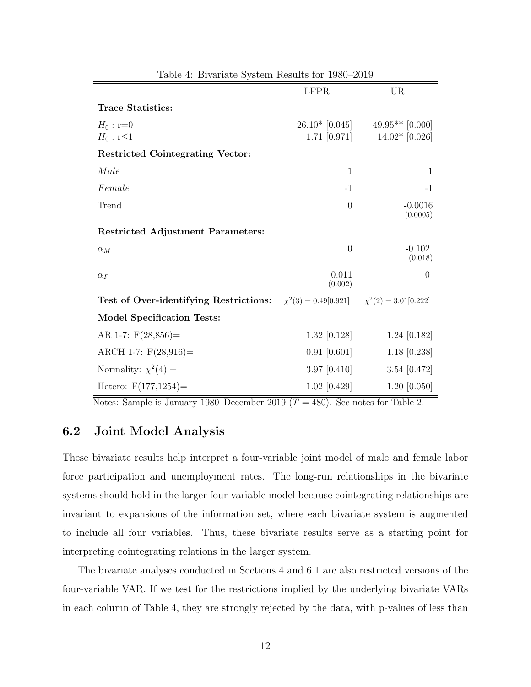|                                                                                                   | <b>LFPR</b>       | UR                                 |
|---------------------------------------------------------------------------------------------------|-------------------|------------------------------------|
| <b>Trace Statistics:</b>                                                                          |                   |                                    |
| $H_0: r=0$                                                                                        |                   | $26.10*$ [0.045] $49.95**$ [0.000] |
| $H_0: \mathbf{r} \leq 1$                                                                          | $1.71 \; [0.971]$ | $14.02*$ [0.026]                   |
| <b>Restricted Cointegrating Vector:</b>                                                           |                   |                                    |
| Male                                                                                              | 1                 | 1                                  |
| Female                                                                                            | $-1$              | $-1$                               |
| Trend                                                                                             | $\overline{0}$    | $-0.0016$<br>(0.0005)              |
| <b>Restricted Adjustment Parameters:</b>                                                          |                   |                                    |
| $\alpha_M$                                                                                        | $\overline{0}$    | $-0.102$<br>(0.018)                |
| $\alpha_F$                                                                                        | 0.011<br>(0.002)  | $\overline{0}$                     |
| <b>Test of Over-identifying Restrictions:</b> $\chi^2(3) = 0.49[0.921]$ $\chi^2(2) = 3.01[0.222]$ |                   |                                    |
| <b>Model Specification Tests:</b>                                                                 |                   |                                    |
| AR 1-7: $F(28,856)$ =                                                                             | $1.32$ [0.128]    | $1.24$ [0.182]                     |
| ARCH 1-7: $F(28,916) =$                                                                           | $0.91$ [0.601]    | $1.18$ [0.238]                     |
| Normality: $\chi^2(4) =$                                                                          | 3.97 $[0.410]$    | 3.54 $[0.472]$                     |
| Hetero: $F(177,1254) =$                                                                           | $1.02$ [0.429]    | 1.20 [0.050]                       |

<span id="page-12-1"></span>Table 4: Bivariate System Results for 1980–2019

Notes: Sample is January 1980–December 2019 ( $T = 480$ ). See notes for Table 2.

#### <span id="page-12-0"></span>6.2 Joint Model Analysis

These bivariate results help interpret a four-variable joint model of male and female labor force participation and unemployment rates. The long-run relationships in the bivariate systems should hold in the larger four-variable model because cointegrating relationships are invariant to expansions of the information set, where each bivariate system is augmented to include all four variables. Thus, these bivariate results serve as a starting point for interpreting cointegrating relations in the larger system.

The bivariate analyses conducted in Sections [4](#page-5-1) and [6.1](#page-11-1) are also restricted versions of the four-variable VAR. If we test for the restrictions implied by the underlying bivariate VARs in each column of Table [4,](#page-12-1) they are strongly rejected by the data, with p-values of less than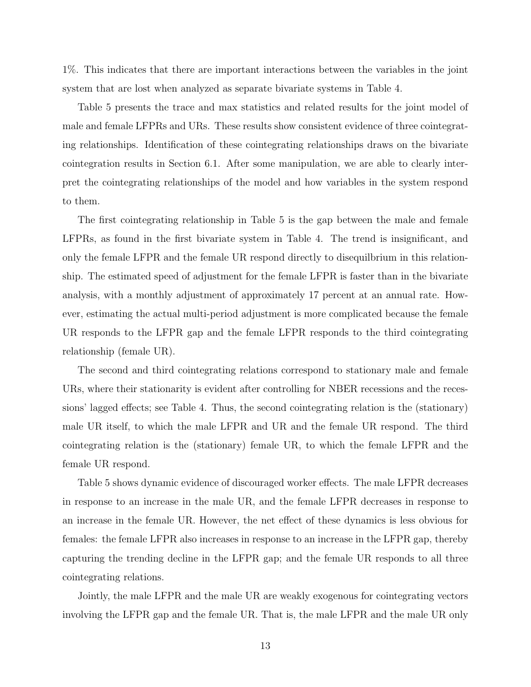1%. This indicates that there are important interactions between the variables in the joint system that are lost when analyzed as separate bivariate systems in Table [4.](#page-12-1)

Table [5](#page-14-0) presents the trace and max statistics and related results for the joint model of male and female LFPRs and URs. These results show consistent evidence of three cointegrating relationships. Identification of these cointegrating relationships draws on the bivariate cointegration results in Section [6.1.](#page-11-1) After some manipulation, we are able to clearly interpret the cointegrating relationships of the model and how variables in the system respond to them.

The first cointegrating relationship in Table [5](#page-14-0) is the gap between the male and female LFPRs, as found in the first bivariate system in Table [4.](#page-12-1) The trend is insignificant, and only the female LFPR and the female UR respond directly to disequilbrium in this relationship. The estimated speed of adjustment for the female LFPR is faster than in the bivariate analysis, with a monthly adjustment of approximately 17 percent at an annual rate. However, estimating the actual multi-period adjustment is more complicated because the female UR responds to the LFPR gap and the female LFPR responds to the third cointegrating relationship (female UR).

The second and third cointegrating relations correspond to stationary male and female URs, where their stationarity is evident after controlling for NBER recessions and the recessions' lagged effects; see Table [4.](#page-12-1) Thus, the second cointegrating relation is the (stationary) male UR itself, to which the male LFPR and UR and the female UR respond. The third cointegrating relation is the (stationary) female UR, to which the female LFPR and the female UR respond.

Table [5](#page-14-0) shows dynamic evidence of discouraged worker effects. The male LFPR decreases in response to an increase in the male UR, and the female LFPR decreases in response to an increase in the female UR. However, the net effect of these dynamics is less obvious for females: the female LFPR also increases in response to an increase in the LFPR gap, thereby capturing the trending decline in the LFPR gap; and the female UR responds to all three cointegrating relations.

Jointly, the male LFPR and the male UR are weakly exogenous for cointegrating vectors involving the LFPR gap and the female UR. That is, the male LFPR and the male UR only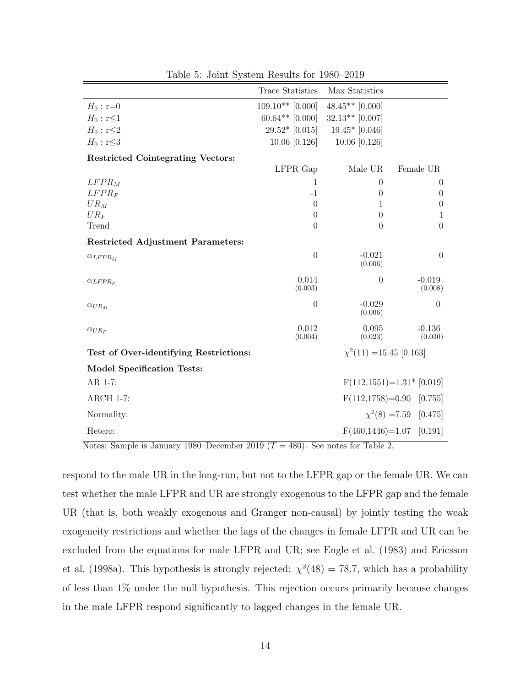|                                          | <b>Trace Statistics</b> | Max Statistics               |                              |
|------------------------------------------|-------------------------|------------------------------|------------------------------|
| $H_0:$ r=0                               | $109.10**$ [0.000]      | $48.45**$ [0.000]            |                              |
| $H_0: \mathbf{r} \leq 1$                 | $60.64**$ [0.000]       | $32.13**$ [0.007]            |                              |
| $H_0: r \leq 2$                          | $29.52*$ [0.015]        | $19.45*$ [0.046]             |                              |
| $H_0: \mathbf{r} \leq 3$                 | $10.06$ [0.126]         | 10.06 [0.126]                |                              |
| <b>Restricted Cointegrating Vectors:</b> |                         |                              |                              |
|                                          | LFPR Gap                | Male UR                      | Female UR                    |
| $LFPR_M$                                 | 1                       | $\theta$                     | $\theta$                     |
| $LFPR_F$                                 | $-1$                    | $\theta$                     | $\theta$                     |
| $UR_M$                                   | $\theta$                | 1                            | $\theta$                     |
| $UR_F$                                   | $\theta$                | $\theta$                     | $\mathbf{1}$                 |
| Trend                                    | $\theta$                | $\theta$                     | $\theta$                     |
| <b>Restricted Adjustment Parameters:</b> |                         |                              |                              |
| $\alpha_{LFPR_M}$                        | $\theta$                | $-0.021$<br>(0.006)          | $\overline{0}$               |
| $\alpha_{LFPR_F}$                        | 0.014<br>(0.003)        | $\boldsymbol{0}$             | $-0.019$<br>(0.008)          |
| $\alpha_{UR_M}$                          | $\theta$                | $-0.029$<br>(0.006)          | $\theta$                     |
| $\alpha_{UR_F}$                          | 0.012<br>(0.004)        | 0.095<br>(0.023)             | $-0.136$<br>(0.030)          |
| Test of Over-identifying Restrictions:   |                         | $\chi^2(11) = 15.45$ [0.163] |                              |
| <b>Model Specification Tests:</b>        |                         |                              |                              |
| AR 1-7:                                  |                         |                              | $F(112, 1551)=1.31*$ [0.019] |
| <b>ARCH 1-7:</b>                         |                         | $F(112, 1758)=0.90$          | [0.755]                      |
| Normality:                               |                         |                              | $\chi^2(8) = 7.59$ [0.475]   |
| Hetero:                                  |                         | $F(460, 1446) = 1.07$        | [0.191]                      |

<span id="page-14-0"></span>Table 5: Joint System Results for 1980–2019

Notes: Sample is January 1980–December 2019 ( $T = 480$ ). See notes for Table 2.

respond to the male UR in the long-run, but not to the LFPR gap or the female UR. We can test whether the male LFPR and UR are strongly exogenous to the LFPR gap and the female UR (that is, both weakly exogenous and Granger non-causal) by jointly testing the weak exogeneity restrictions and whether the lags of the changes in female LFPR and UR can be excluded from the equations for male LFPR and UR; see [Engle et al. \(1983\)](#page-21-8) and [Ericsson](#page-21-9) [et al. \(1998a\)](#page-21-9). This hypothesis is strongly rejected:  $\chi^2(48) = 78.7$ , which has a probability of less than 1% under the null hypothesis. This rejection occurs primarily because changes in the male LFPR respond significantly to lagged changes in the female UR.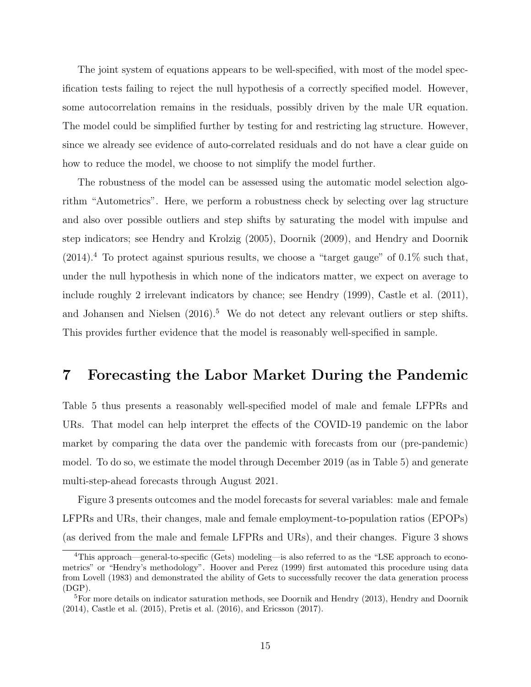The joint system of equations appears to be well-specified, with most of the model specification tests failing to reject the null hypothesis of a correctly specified model. However, some autocorrelation remains in the residuals, possibly driven by the male UR equation. The model could be simplified further by testing for and restricting lag structure. However, since we already see evidence of auto-correlated residuals and do not have a clear guide on how to reduce the model, we choose to not simplify the model further.

The robustness of the model can be assessed using the automatic model selection algorithm "Autometrics". Here, we perform a robustness check by selecting over lag structure and also over possible outliers and step shifts by saturating the model with impulse and step indicators; see [Hendry and Krolzig \(2005\)](#page-21-10), [Doornik \(2009\)](#page-20-9), and [Hendry and Doornik](#page-21-11)  $(2014).$  $(2014).$ <sup>[4](#page-15-1)</sup> To protect against spurious results, we choose a "target gauge" of 0.1% such that, under the null hypothesis in which none of the indicators matter, we expect on average to include roughly 2 irrelevant indicators by chance; see [Hendry \(1999\)](#page-21-12), [Castle et al. \(2011\)](#page-20-10), and Johansen and Nielsen  $(2016)^5$  $(2016)^5$ . We do not detect any relevant outliers or step shifts. This provides further evidence that the model is reasonably well-specified in sample.

#### <span id="page-15-0"></span>7 Forecasting the Labor Market During the Pandemic

Table [5](#page-14-0) thus presents a reasonably well-specified model of male and female LFPRs and URs. That model can help interpret the effects of the COVID-19 pandemic on the labor market by comparing the data over the pandemic with forecasts from our (pre-pandemic) model. To do so, we estimate the model through December 2019 (as in Table [5\)](#page-14-0) and generate multi-step-ahead forecasts through August 2021.

Figure [3](#page-16-0) presents outcomes and the model forecasts for several variables: male and female LFPRs and URs, their changes, male and female employment-to-population ratios (EPOPs) (as derived from the male and female LFPRs and URs), and their changes. Figure [3](#page-16-0) shows

<span id="page-15-1"></span><sup>4</sup>This approach—general-to-specific (Gets) modeling—is also referred to as the "LSE approach to econometrics" or "Hendry's methodology". [Hoover and Perez](#page-22-12) [\(1999\)](#page-22-12) first automated this procedure using data from [Lovell](#page-22-13) [\(1983\)](#page-22-13) and demonstrated the ability of Gets to successfully recover the data generation process (DGP).

<span id="page-15-2"></span><sup>&</sup>lt;sup>5</sup>For more details on indicator saturation methods, see [Doornik and Hendry](#page-20-11) [\(2013\)](#page-20-11), [Hendry and Doornik](#page-21-11) [\(2014\)](#page-21-11), [Castle et al.](#page-20-12) [\(2015\)](#page-20-12), [Pretis et al.](#page-23-6) [\(2016\)](#page-23-6), and [Ericsson](#page-21-4) [\(2017\)](#page-21-4).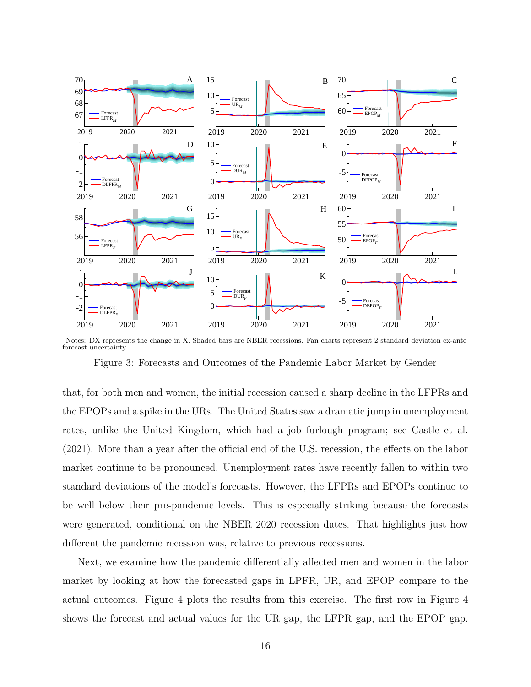

Notes: DX represents the change in X. Shaded bars are NBER recessions. Fan charts represent 2 standard deviation ex-ante forecast uncertainty.

<span id="page-16-0"></span>Figure 3: Forecasts and Outcomes of the Pandemic Labor Market by Gender

that, for both men and women, the initial recession caused a sharp decline in the LFPRs and the EPOPs and a spike in the URs. The United States saw a dramatic jump in unemployment rates, unlike the United Kingdom, which had a job furlough program; see [Castle et al.](#page-20-13) [\(2021\)](#page-20-13). More than a year after the official end of the U.S. recession, the effects on the labor market continue to be pronounced. Unemployment rates have recently fallen to within two standard deviations of the model's forecasts. However, the LFPRs and EPOPs continue to be well below their pre-pandemic levels. This is especially striking because the forecasts were generated, conditional on the NBER 2020 recession dates. That highlights just how different the pandemic recession was, relative to previous recessions.

Next, we examine how the pandemic differentially affected men and women in the labor market by looking at how the forecasted gaps in LPFR, UR, and EPOP compare to the actual outcomes. Figure [4](#page-17-0) plots the results from this exercise. The first row in Figure [4](#page-17-0) shows the forecast and actual values for the UR gap, the LFPR gap, and the EPOP gap.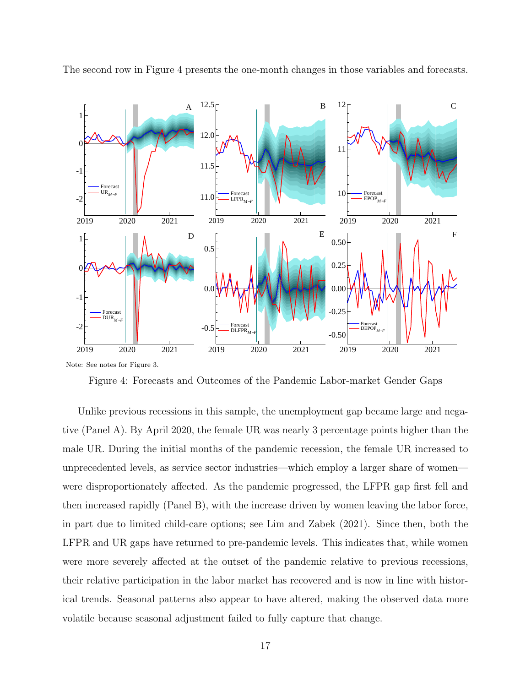

The second row in Figure [4](#page-17-0) presents the one-month changes in those variables and forecasts.

<span id="page-17-0"></span>Figure 4: Forecasts and Outcomes of the Pandemic Labor-market Gender Gaps

Unlike previous recessions in this sample, the unemployment gap became large and negative (Panel A). By April 2020, the female UR was nearly 3 percentage points higher than the male UR. During the initial months of the pandemic recession, the female UR increased to unprecedented levels, as service sector industries—which employ a larger share of women were disproportionately affected. As the pandemic progressed, the LFPR gap first fell and then increased rapidly (Panel B), with the increase driven by women leaving the labor force, in part due to limited child-care options; see [Lim and Zabek \(2021\)](#page-22-14). Since then, both the LFPR and UR gaps have returned to pre-pandemic levels. This indicates that, while women were more severely affected at the outset of the pandemic relative to previous recessions, their relative participation in the labor market has recovered and is now in line with historical trends. Seasonal patterns also appear to have altered, making the observed data more volatile because seasonal adjustment failed to fully capture that change.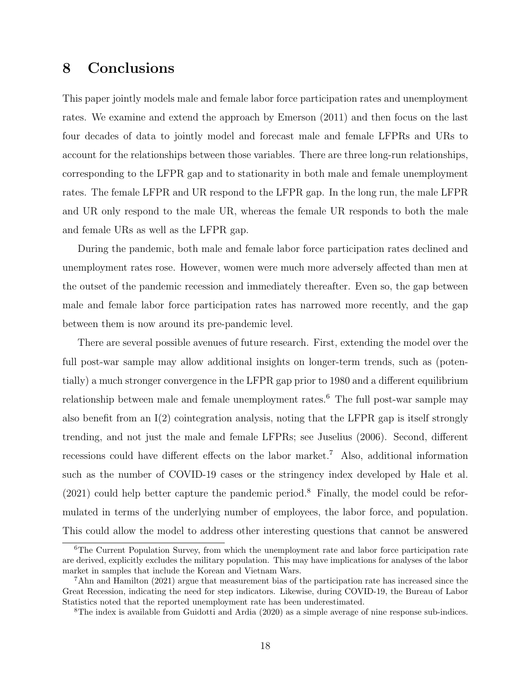## <span id="page-18-0"></span>8 Conclusions

This paper jointly models male and female labor force participation rates and unemployment rates. We examine and extend the approach by [Emerson \(2011\)](#page-21-0) and then focus on the last four decades of data to jointly model and forecast male and female LFPRs and URs to account for the relationships between those variables. There are three long-run relationships, corresponding to the LFPR gap and to stationarity in both male and female unemployment rates. The female LFPR and UR respond to the LFPR gap. In the long run, the male LFPR and UR only respond to the male UR, whereas the female UR responds to both the male and female URs as well as the LFPR gap.

During the pandemic, both male and female labor force participation rates declined and unemployment rates rose. However, women were much more adversely affected than men at the outset of the pandemic recession and immediately thereafter. Even so, the gap between male and female labor force participation rates has narrowed more recently, and the gap between them is now around its pre-pandemic level.

There are several possible avenues of future research. First, extending the model over the full post-war sample may allow additional insights on longer-term trends, such as (potentially) a much stronger convergence in the LFPR gap prior to 1980 and a different equilibrium relationship between male and female unemployment rates.<sup>[6](#page-18-1)</sup> The full post-war sample may also benefit from an  $I(2)$  cointegration analysis, noting that the LFPR gap is itself strongly trending, and not just the male and female LFPRs; see [Juselius \(2006\)](#page-22-15). Second, different recessions could have different effects on the labor market.[7](#page-18-2) Also, additional information such as the number of COVID-19 cases or the stringency index developed by [Hale et al.](#page-21-13)  $(2021)$  could help better capture the pandemic period.<sup>[8](#page-18-3)</sup> Finally, the model could be reformulated in terms of the underlying number of employees, the labor force, and population. This could allow the model to address other interesting questions that cannot be answered

<span id="page-18-1"></span><sup>&</sup>lt;sup>6</sup>The Current Population Survey, from which the unemployment rate and labor force participation rate are derived, explicitly excludes the military population. This may have implications for analyses of the labor market in samples that include the Korean and Vietnam Wars.

<span id="page-18-2"></span><sup>7</sup>[Ahn and Hamilton](#page-20-14) [\(2021\)](#page-20-14) argue that measurement bias of the participation rate has increased since the Great Recession, indicating the need for step indicators. Likewise, during COVID-19, the Bureau of Labor Statistics noted that the reported unemployment rate has been underestimated.

<span id="page-18-3"></span><sup>8</sup>The index is available from [Guidotti and Ardia](#page-21-14) [\(2020\)](#page-21-14) as a simple average of nine response sub-indices.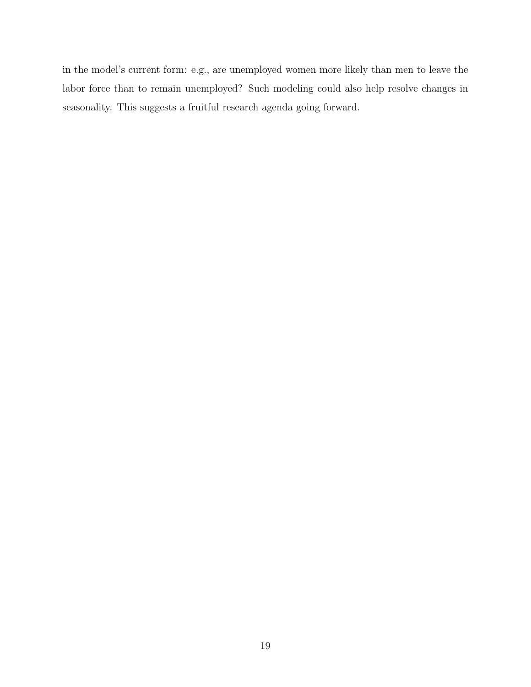in the model's current form: e.g., are unemployed women more likely than men to leave the labor force than to remain unemployed? Such modeling could also help resolve changes in seasonality. This suggests a fruitful research agenda going forward.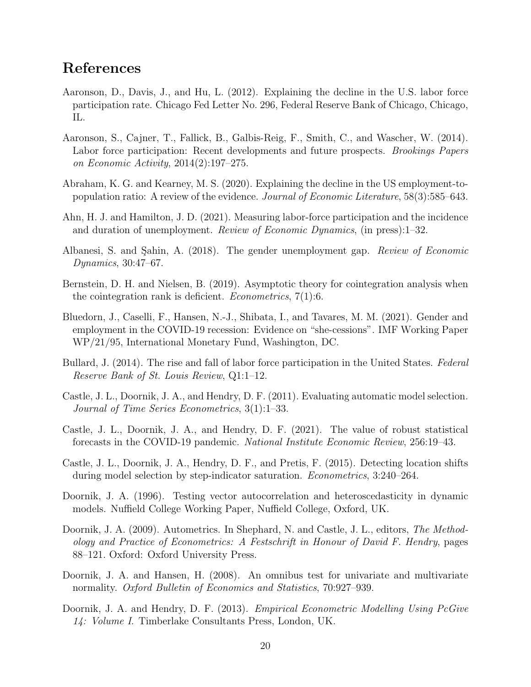## References

- <span id="page-20-2"></span>Aaronson, D., Davis, J., and Hu, L. (2012). Explaining the decline in the U.S. labor force participation rate. Chicago Fed Letter No. 296, Federal Reserve Bank of Chicago, Chicago, IL.
- <span id="page-20-4"></span>Aaronson, S., Cajner, T., Fallick, B., Galbis-Reig, F., Smith, C., and Wascher, W. (2014). Labor force participation: Recent developments and future prospects. Brookings Papers on Economic Activity, 2014(2):197–275.
- <span id="page-20-1"></span>Abraham, K. G. and Kearney, M. S. (2020). Explaining the decline in the US employment-topopulation ratio: A review of the evidence. Journal of Economic Literature, 58(3):585–643.
- <span id="page-20-14"></span>Ahn, H. J. and Hamilton, J. D. (2021). Measuring labor-force participation and the incidence and duration of unemployment. Review of Economic Dynamics, (in press):1–32.
- <span id="page-20-8"></span>Albanesi, S. and Sahin, A. (2018). The gender unemployment gap. Review of Economic Dynamics, 30:47–67.
- <span id="page-20-5"></span>Bernstein, D. H. and Nielsen, B. (2019). Asymptotic theory for cointegration analysis when the cointegration rank is deficient. *Econometrics*,  $7(1):6$ .
- <span id="page-20-0"></span>Bluedorn, J., Caselli, F., Hansen, N.-J., Shibata, I., and Tavares, M. M. (2021). Gender and employment in the COVID-19 recession: Evidence on "she-cessions". IMF Working Paper WP/21/95, International Monetary Fund, Washington, DC.
- <span id="page-20-3"></span>Bullard, J. (2014). The rise and fall of labor force participation in the United States. Federal Reserve Bank of St. Louis Review, Q1:1–12.
- <span id="page-20-10"></span>Castle, J. L., Doornik, J. A., and Hendry, D. F. (2011). Evaluating automatic model selection. Journal of Time Series Econometrics, 3(1):1–33.
- <span id="page-20-13"></span>Castle, J. L., Doornik, J. A., and Hendry, D. F. (2021). The value of robust statistical forecasts in the COVID-19 pandemic. National Institute Economic Review, 256:19–43.
- <span id="page-20-12"></span>Castle, J. L., Doornik, J. A., Hendry, D. F., and Pretis, F. (2015). Detecting location shifts during model selection by step-indicator saturation. Econometrics, 3:240–264.
- <span id="page-20-6"></span>Doornik, J. A. (1996). Testing vector autocorrelation and heteroscedasticity in dynamic models. Nuffield College Working Paper, Nuffield College, Oxford, UK.
- <span id="page-20-9"></span>Doornik, J. A. (2009). Autometrics. In Shephard, N. and Castle, J. L., editors, The Methodology and Practice of Econometrics: A Festschrift in Honour of David F. Hendry, pages 88–121. Oxford: Oxford University Press.
- <span id="page-20-7"></span>Doornik, J. A. and Hansen, H. (2008). An omnibus test for univariate and multivariate normality. Oxford Bulletin of Economics and Statistics, 70:927–939.
- <span id="page-20-11"></span>Doornik, J. A. and Hendry, D. F. (2013). *Empirical Econometric Modelling Using PcGive* 14: Volume I. Timberlake Consultants Press, London, UK.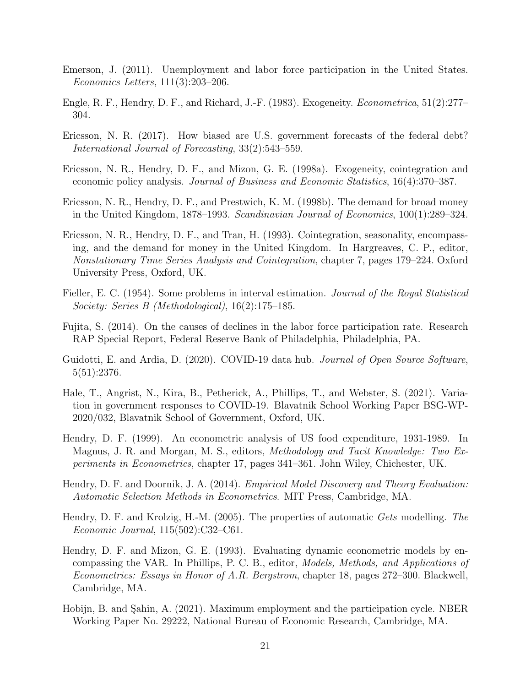- <span id="page-21-0"></span>Emerson, J. (2011). Unemployment and labor force participation in the United States. Economics Letters, 111(3):203–206.
- <span id="page-21-8"></span>Engle, R. F., Hendry, D. F., and Richard, J.-F. (1983). Exogeneity. Econometrica, 51(2):277– 304.
- <span id="page-21-4"></span>Ericsson, N. R. (2017). How biased are U.S. government forecasts of the federal debt? International Journal of Forecasting, 33(2):543–559.
- <span id="page-21-9"></span>Ericsson, N. R., Hendry, D. F., and Mizon, G. E. (1998a). Exogeneity, cointegration and economic policy analysis. Journal of Business and Economic Statistics, 16(4):370–387.
- <span id="page-21-7"></span>Ericsson, N. R., Hendry, D. F., and Prestwich, K. M. (1998b). The demand for broad money in the United Kingdom, 1878–1993. Scandinavian Journal of Economics, 100(1):289–324.
- <span id="page-21-2"></span>Ericsson, N. R., Hendry, D. F., and Tran, H. (1993). Cointegration, seasonality, encompassing, and the demand for money in the United Kingdom. In Hargreaves, C. P., editor, Nonstationary Time Series Analysis and Cointegration, chapter 7, pages 179–224. Oxford University Press, Oxford, UK.
- <span id="page-21-3"></span>Fieller, E. C. (1954). Some problems in interval estimation. *Journal of the Royal Statistical* Society: Series B (Methodological), 16(2):175–185.
- <span id="page-21-1"></span>Fujita, S. (2014). On the causes of declines in the labor force participation rate. Research RAP Special Report, Federal Reserve Bank of Philadelphia, Philadelphia, PA.
- <span id="page-21-14"></span>Guidotti, E. and Ardia, D. (2020). COVID-19 data hub. *Journal of Open Source Software*, 5(51):2376.
- <span id="page-21-13"></span>Hale, T., Angrist, N., Kira, B., Petherick, A., Phillips, T., and Webster, S. (2021). Variation in government responses to COVID-19. Blavatnik School Working Paper BSG-WP-2020/032, Blavatnik School of Government, Oxford, UK.
- <span id="page-21-12"></span>Hendry, D. F. (1999). An econometric analysis of US food expenditure, 1931-1989. In Magnus, J. R. and Morgan, M. S., editors, Methodology and Tacit Knowledge: Two Experiments in Econometrics, chapter 17, pages 341–361. John Wiley, Chichester, UK.
- <span id="page-21-11"></span>Hendry, D. F. and Doornik, J. A. (2014). *Empirical Model Discovery and Theory Evaluation*: Automatic Selection Methods in Econometrics. MIT Press, Cambridge, MA.
- <span id="page-21-10"></span>Hendry, D. F. and Krolzig, H.-M. (2005). The properties of automatic Gets modelling. The Economic Journal, 115(502):C32–C61.
- <span id="page-21-6"></span>Hendry, D. F. and Mizon, G. E. (1993). Evaluating dynamic econometric models by encompassing the VAR. In Phillips, P. C. B., editor, Models, Methods, and Applications of Econometrics: Essays in Honor of A.R. Bergstrom, chapter 18, pages 272–300. Blackwell, Cambridge, MA.
- <span id="page-21-5"></span>Hobijn, B. and Şahin, A. (2021). Maximum employment and the participation cycle. NBER Working Paper No. 29222, National Bureau of Economic Research, Cambridge, MA.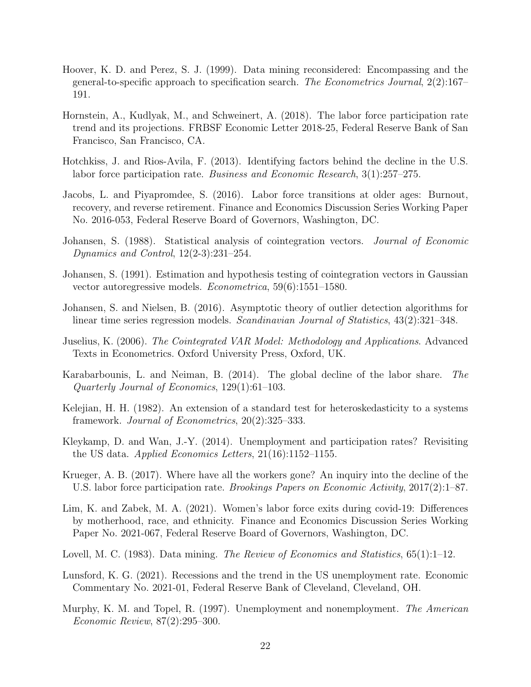- <span id="page-22-12"></span>Hoover, K. D. and Perez, S. J. (1999). Data mining reconsidered: Encompassing and the general-to-specific approach to specification search. The Econometrics Journal, 2(2):167– 191.
- <span id="page-22-1"></span>Hornstein, A., Kudlyak, M., and Schweinert, A. (2018). The labor force participation rate trend and its projections. FRBSF Economic Letter 2018-25, Federal Reserve Bank of San Francisco, San Francisco, CA.
- <span id="page-22-3"></span>Hotchkiss, J. and Rios-Avila, F. (2013). Identifying factors behind the decline in the U.S. labor force participation rate. Business and Economic Research, 3(1):257–275.
- <span id="page-22-2"></span>Jacobs, L. and Piyapromdee, S. (2016). Labor force transitions at older ages: Burnout, recovery, and reverse retirement. Finance and Economics Discussion Series Working Paper No. 2016-053, Federal Reserve Board of Governors, Washington, DC.
- <span id="page-22-7"></span>Johansen, S. (1988). Statistical analysis of cointegration vectors. Journal of Economic Dynamics and Control, 12(2-3):231–254.
- <span id="page-22-8"></span>Johansen, S. (1991). Estimation and hypothesis testing of cointegration vectors in Gaussian vector autoregressive models. Econometrica, 59(6):1551–1580.
- <span id="page-22-11"></span>Johansen, S. and Nielsen, B. (2016). Asymptotic theory of outlier detection algorithms for linear time series regression models. *Scandinavian Journal of Statistics*, 43(2):321–348.
- <span id="page-22-15"></span>Juselius, K. (2006). The Cointegrated VAR Model: Methodology and Applications. Advanced Texts in Econometrics. Oxford University Press, Oxford, UK.
- <span id="page-22-5"></span>Karabarbounis, L. and Neiman, B. (2014). The global decline of the labor share. The Quarterly Journal of Economics, 129(1):61–103.
- <span id="page-22-9"></span>Kelejian, H. H. (1982). An extension of a standard test for heteroskedasticity to a systems framework. Journal of Econometrics, 20(2):325–333.
- <span id="page-22-0"></span>Kleykamp, D. and Wan, J.-Y. (2014). Unemployment and participation rates? Revisiting the US data. Applied Economics Letters, 21(16):1152–1155.
- <span id="page-22-6"></span>Krueger, A. B. (2017). Where have all the workers gone? An inquiry into the decline of the U.S. labor force participation rate. Brookings Papers on Economic Activity, 2017(2):1–87.
- <span id="page-22-14"></span>Lim, K. and Zabek, M. A. (2021). Women's labor force exits during covid-19: Differences by motherhood, race, and ethnicity. Finance and Economics Discussion Series Working Paper No. 2021-067, Federal Reserve Board of Governors, Washington, DC.
- <span id="page-22-13"></span>Lovell, M. C. (1983). Data mining. The Review of Economics and Statistics,  $65(1):1-12$ .
- <span id="page-22-10"></span>Lunsford, K. G. (2021). Recessions and the trend in the US unemployment rate. Economic Commentary No. 2021-01, Federal Reserve Bank of Cleveland, Cleveland, OH.
- <span id="page-22-4"></span>Murphy, K. M. and Topel, R. (1997). Unemployment and nonemployment. The American Economic Review, 87(2):295–300.